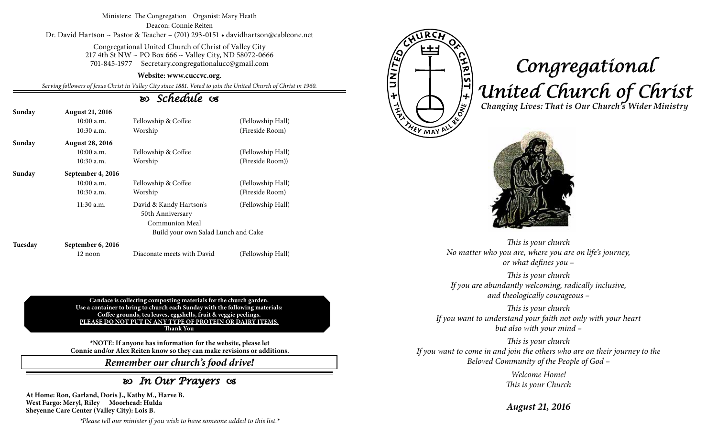### Ministers: The Congregation Organist: Mary Heath Deacon: Connie Reiten Dr. David Hartson ~ Pastor & Teacher – (701) 293-0151 • davidhartson@cableone.net

Congregational United Church of Christ of Valley City 217 4th St NW ~ PO Box 666 ~ Valley City, ND 58072-0666 701-845-1977 Secretary.congregationalucc@gmail.com

#### **Website: www.cuccvc.org.**

*Serving followers of Jesus Christ in Valley City since 1881. Voted to join the United Church of Christ in 1960.*

## *Schedule*

| Sunday  | <b>August 21, 2016</b> |                                     |                   |
|---------|------------------------|-------------------------------------|-------------------|
|         | $10:00$ a.m.           | Fellowship & Coffee                 | (Fellowship Hall) |
|         | $10:30$ a.m.           | Worship                             | (Fireside Room)   |
| Sunday  | <b>August 28, 2016</b> |                                     |                   |
|         | $10:00$ a.m.           | Fellowship & Coffee                 | (Fellowship Hall) |
|         | $10:30$ a.m.           | Worship                             | (Fireside Room))  |
| Sunday  | September 4, 2016      |                                     |                   |
|         | $10:00$ a.m.           | Fellowship & Coffee                 | (Fellowship Hall) |
|         | 10:30 a.m.             | Worship                             | (Fireside Room)   |
|         | $11:30$ a.m.           | David & Kandy Hartson's             | (Fellowship Hall) |
|         |                        | 50th Anniversary                    |                   |
|         |                        | Communion Meal                      |                   |
|         |                        | Build your own Salad Lunch and Cake |                   |
| Tuesday | September 6, 2016      |                                     |                   |

12 noon Diaconate meets with David (Fellowship Hall)

**Candace is collecting composting materials for the church garden. Use a container to bring to church each Sunday with the following materials: Coffee grounds, tea leaves, eggshells, fruit & veggie peelings. PLEASE DO NOT PUT IN ANY TYPE OF PROTEIN OR DAIRY ITEMS. Thank You**

**\*NOTE: If anyone has information for the website, please let Connie and/or Alex Reiten know so they can make revisions or additions.**

*Remember our church's food drive!*

## *In Our Prayers*

**At Home: Ron, Garland, Doris J., Kathy M., Harve B. West Fargo: Meryl, Riley Moorhead: Hulda Sheyenne Care Center (Valley City): Lois B.**

**ATINITE** <u>NAIST + Mo</u>

**YEY MAY** 

# *Congregational United Church of Christ Changing Lives: That is Our Church's Wider Ministry*



*This is your church No matter who you are, where you are on life's journey, or what defines you –*

*This is your church If you are abundantly welcoming, radically inclusive, and theologically courageous –*

*This is your church If you want to understand your faith not only with your heart but also with your mind –*

*This is your church If you want to come in and join the others who are on their journey to the Beloved Community of the People of God –*

> *Welcome Home! This is your Church*

*August 21, 2016*

*\*Please tell our minister if you wish to have someone added to this list.\**